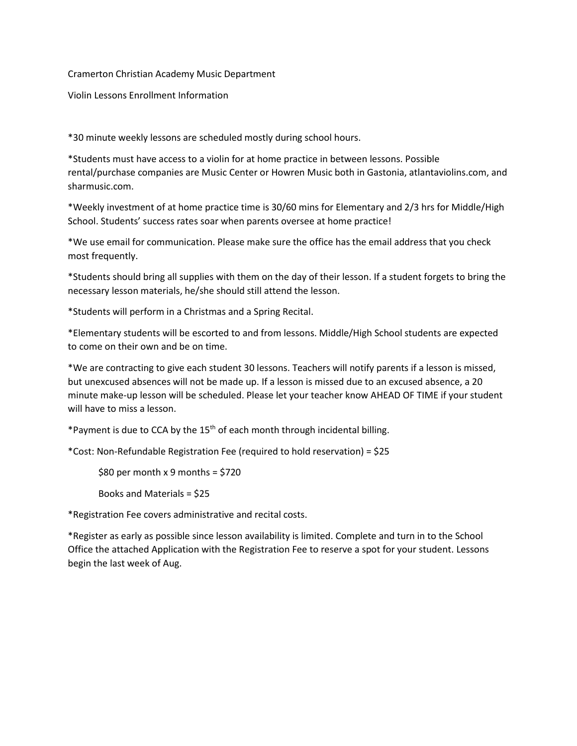## Cramerton Christian Academy Music Department

Violin Lessons Enrollment Information

\*30 minute weekly lessons are scheduled mostly during school hours.

\*Students must have access to a violin for at home practice in between lessons. Possible rental/purchase companies are Music Center or Howren Music both in Gastonia, atlantaviolins.com, and sharmusic.com.

\*Weekly investment of at home practice time is 30/60 mins for Elementary and 2/3 hrs for Middle/High School. Students' success rates soar when parents oversee at home practice!

\*We use email for communication. Please make sure the office has the email address that you check most frequently.

\*Students should bring all supplies with them on the day of their lesson. If a student forgets to bring the necessary lesson materials, he/she should still attend the lesson.

\*Students will perform in a Christmas and a Spring Recital.

\*Elementary students will be escorted to and from lessons. Middle/High School students are expected to come on their own and be on time.

\*We are contracting to give each student 30 lessons. Teachers will notify parents if a lesson is missed, but unexcused absences will not be made up. If a lesson is missed due to an excused absence, a 20 minute make-up lesson will be scheduled. Please let your teacher know AHEAD OF TIME if your student will have to miss a lesson.

\*Payment is due to CCA by the 15<sup>th</sup> of each month through incidental billing.

\*Cost: Non-Refundable Registration Fee (required to hold reservation) = \$25

 $$80$  per month x 9 months =  $$720$ 

Books and Materials = \$25

\*Registration Fee covers administrative and recital costs.

\*Register as early as possible since lesson availability is limited. Complete and turn in to the School Office the attached Application with the Registration Fee to reserve a spot for your student. Lessons begin the last week of Aug.